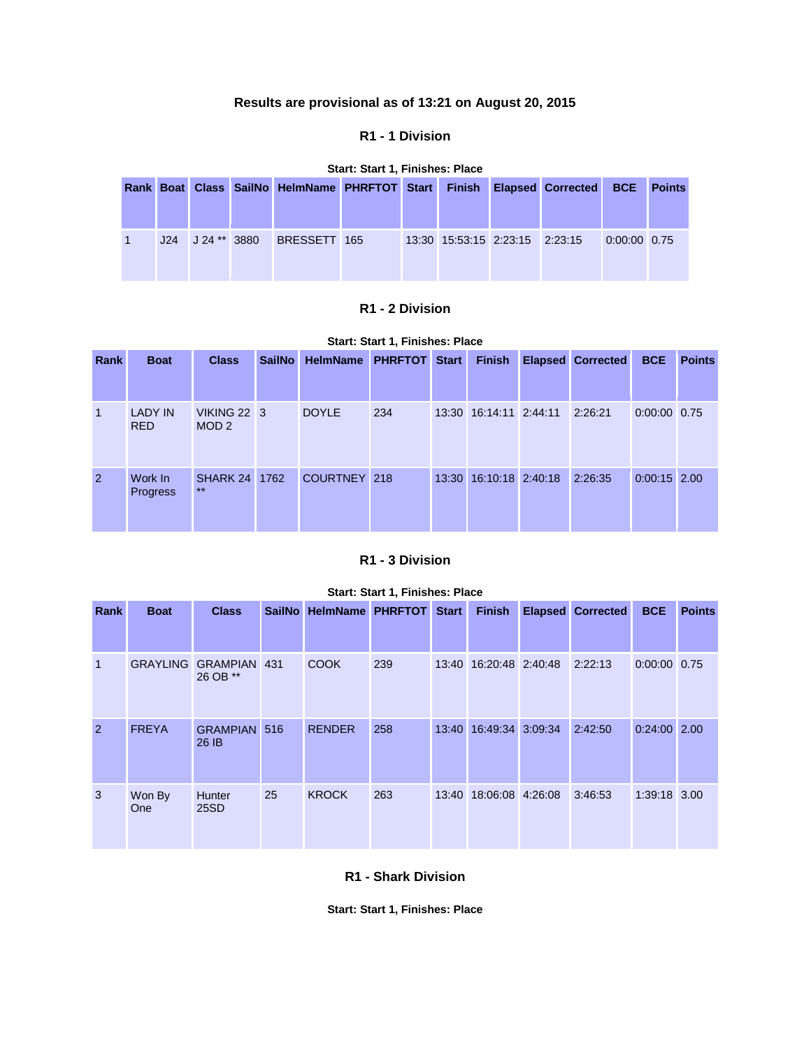## **Results are provisional as of 13:21 on August 20, 2015**

#### **R1 - 1 Division**

#### **Start: Start 1, Finishes: Place**

|     |              | Rank Boat Class SailNo HelmName PHRFTOT Start Finish Elapsed Corrected BCE Points |  |                                |  |                |  |
|-----|--------------|-----------------------------------------------------------------------------------|--|--------------------------------|--|----------------|--|
| J24 | J 24 ** 3880 | BRESSETT 165                                                                      |  | 13:30 15:53:15 2:23:15 2:23:15 |  | $0:00:00$ 0.75 |  |

### **R1 - 2 Division**

| Start: Start 1, Finishes: Place |  |  |  |
|---------------------------------|--|--|--|
|---------------------------------|--|--|--|

| Rank | <b>Boat</b>                  | <b>Class</b>                           | <b>SailNo</b> | <b>HelmName</b> | <b>PHRFTOT</b> | <b>Start</b> | <b>Finish</b>          | <b>Elapsed Corrected</b> | <b>BCE</b>     | <b>Points</b> |
|------|------------------------------|----------------------------------------|---------------|-----------------|----------------|--------------|------------------------|--------------------------|----------------|---------------|
| 1    | <b>LADY IN</b><br><b>RED</b> | <b>VIKING 22 3</b><br>MOD <sub>2</sub> |               | <b>DOYLE</b>    | 234            |              | 13:30 16:14:11 2:44:11 | 2:26:21                  | 0:00:00 0.75   |               |
| 2    | Work In<br><b>Progress</b>   | <b>SHARK 24 1762</b><br>$***$          |               | COURTNEY 218    |                |              | 13:30 16:10:18 2:40:18 | 2:26:35                  | $0:00:15$ 2.00 |               |

# **R1 - 3 Division**

| Start: Start 1, Finishes: Place |                 |                              |     |                         |     |              |                        |  |                          |                |               |  |
|---------------------------------|-----------------|------------------------------|-----|-------------------------|-----|--------------|------------------------|--|--------------------------|----------------|---------------|--|
| Rank                            | <b>Boat</b>     | <b>Class</b>                 |     | SailNo HelmName PHRFTOT |     | <b>Start</b> | <b>Finish</b>          |  | <b>Elapsed Corrected</b> | <b>BCE</b>     | <b>Points</b> |  |
|                                 |                 |                              |     |                         |     |              |                        |  |                          |                |               |  |
| $\mathbf 1$                     | <b>GRAYLING</b> | <b>GRAMPIAN</b><br>26 OB **  | 431 | <b>COOK</b>             | 239 |              | 13:40 16:20:48 2:40:48 |  | 2:22:13                  | $0:00:00$ 0.75 |               |  |
| 2                               | <b>FREYA</b>    | <b>GRAMPIAN 516</b><br>26 IB |     | <b>RENDER</b>           | 258 | 13:40        | 16:49:34 3:09:34       |  | 2:42:50                  | $0:24:00$ 2.00 |               |  |
| 3                               | Won By<br>One   | <b>Hunter</b><br>25SD        | 25  | <b>KROCK</b>            | 263 | 13:40        | 18:06:08 4:26:08       |  | 3:46:53                  | 1:39:18 3.00   |               |  |

#### **R1 - Shark Division**

**Start: Start 1, Finishes: Place**